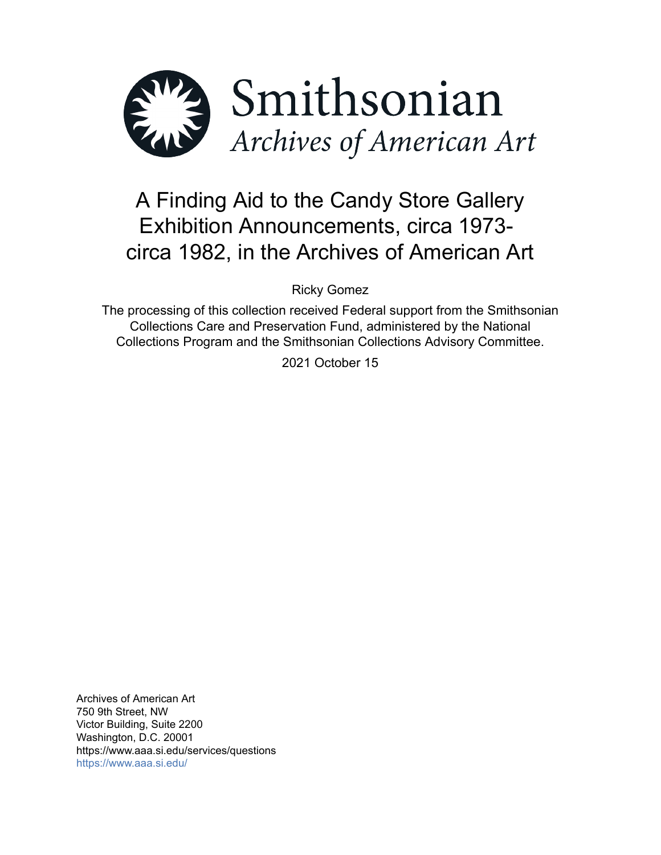

# A Finding Aid to the Candy Store Gallery Exhibition Announcements, circa 1973 circa 1982, in the Archives of American Art

Ricky Gomez

The processing of this collection received Federal support from the Smithsonian Collections Care and Preservation Fund, administered by the National Collections Program and the Smithsonian Collections Advisory Committee.

2021 October 15

Archives of American Art 750 9th Street, NW Victor Building, Suite 2200 Washington, D.C. 20001 https://www.aaa.si.edu/services/questions <https://www.aaa.si.edu/>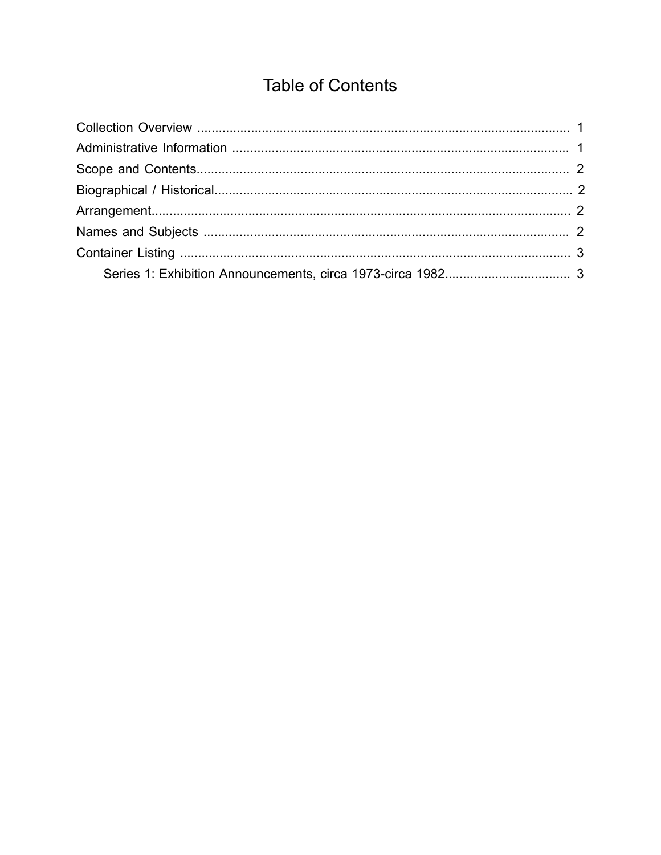## **Table of Contents**

<span id="page-1-0"></span>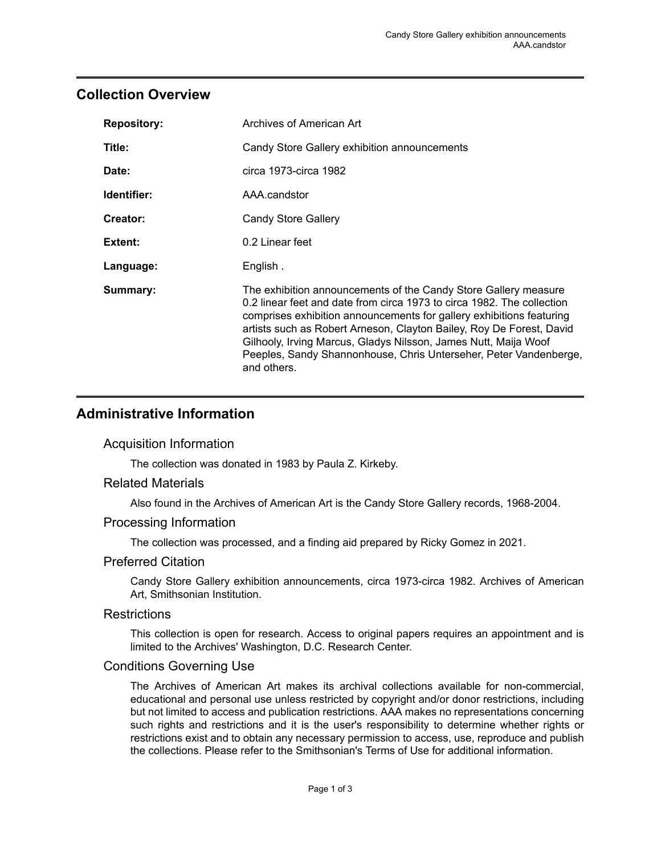## <span id="page-2-0"></span>**Collection Overview**

| <b>Repository:</b> | Archives of American Art                                                                                                                                                                                                                                                                                                                                                                                                                         |
|--------------------|--------------------------------------------------------------------------------------------------------------------------------------------------------------------------------------------------------------------------------------------------------------------------------------------------------------------------------------------------------------------------------------------------------------------------------------------------|
| Title:             | Candy Store Gallery exhibition announcements                                                                                                                                                                                                                                                                                                                                                                                                     |
| Date:              | circa 1973-circa 1982                                                                                                                                                                                                                                                                                                                                                                                                                            |
| Identifier:        | AAA.candstor                                                                                                                                                                                                                                                                                                                                                                                                                                     |
| Creator:           | Candy Store Gallery                                                                                                                                                                                                                                                                                                                                                                                                                              |
| Extent:            | 0.2 Linear feet                                                                                                                                                                                                                                                                                                                                                                                                                                  |
| Language:          | English.                                                                                                                                                                                                                                                                                                                                                                                                                                         |
| Summary:           | The exhibition announcements of the Candy Store Gallery measure<br>0.2 linear feet and date from circa 1973 to circa 1982. The collection<br>comprises exhibition announcements for gallery exhibitions featuring<br>artists such as Robert Arneson, Clayton Bailey, Roy De Forest, David<br>Gilhooly, Irving Marcus, Gladys Nilsson, James Nutt, Maija Woof<br>Peeples, Sandy Shannonhouse, Chris Unterseher, Peter Vandenberge,<br>and others. |

## <span id="page-2-1"></span>**Administrative Information**

#### Acquisition Information

The collection was donated in 1983 by Paula Z. Kirkeby.

#### Related Materials

Also found in the Archives of American Art is the Candy Store Gallery records, 1968-2004.

#### Processing Information

The collection was processed, and a finding aid prepared by Ricky Gomez in 2021.

#### Preferred Citation

Candy Store Gallery exhibition announcements, circa 1973-circa 1982. Archives of American Art, Smithsonian Institution.

#### **Restrictions**

This collection is open for research. Access to original papers requires an appointment and is limited to the Archives' Washington, D.C. Research Center.

#### Conditions Governing Use

The Archives of American Art makes its archival collections available for non-commercial, educational and personal use unless restricted by copyright and/or donor restrictions, including but not limited to access and publication restrictions. AAA makes no representations concerning such rights and restrictions and it is the user's responsibility to determine whether rights or restrictions exist and to obtain any necessary permission to access, use, reproduce and publish the collections. Please refer to the Smithsonian's Terms of Use for additional information.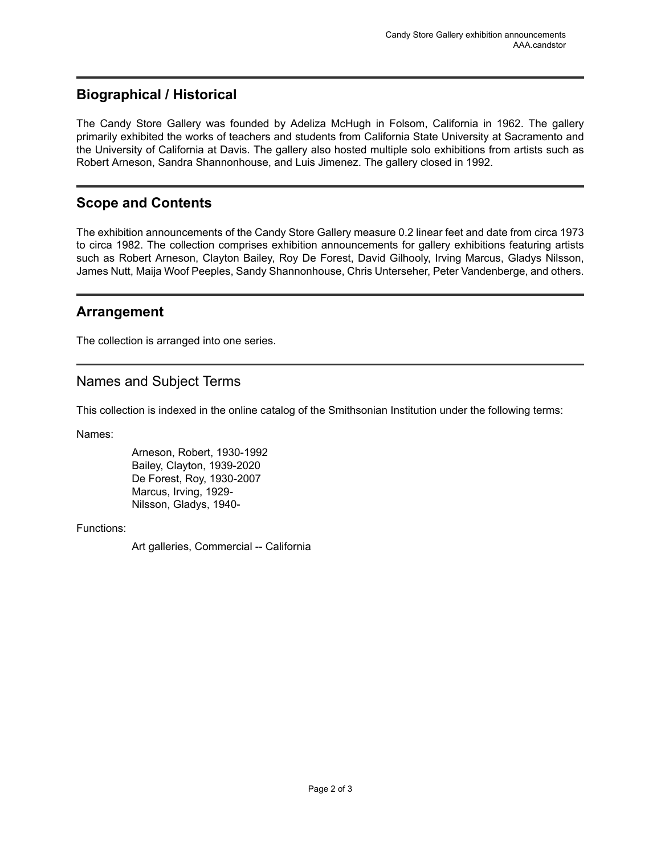## <span id="page-3-1"></span>**Biographical / Historical**

The Candy Store Gallery was founded by Adeliza McHugh in Folsom, California in 1962. The gallery primarily exhibited the works of teachers and students from California State University at Sacramento and the University of California at Davis. The gallery also hosted multiple solo exhibitions from artists such as Robert Arneson, Sandra Shannonhouse, and Luis Jimenez. The gallery closed in 1992.

## <span id="page-3-0"></span>**Scope and Contents**

The exhibition announcements of the Candy Store Gallery measure 0.2 linear feet and date from circa 1973 to circa 1982. The collection comprises exhibition announcements for gallery exhibitions featuring artists such as Robert Arneson, Clayton Bailey, Roy De Forest, David Gilhooly, Irving Marcus, Gladys Nilsson, James Nutt, Maija Woof Peeples, Sandy Shannonhouse, Chris Unterseher, Peter Vandenberge, and others.

## <span id="page-3-2"></span>**Arrangement**

The collection is arranged into one series.

## <span id="page-3-3"></span>Names and Subject Terms

This collection is indexed in the online catalog of the Smithsonian Institution under the following terms:

Names:

Arneson, Robert, 1930-1992 Bailey, Clayton, 1939-2020 De Forest, Roy, 1930-2007 Marcus, Irving, 1929- Nilsson, Gladys, 1940-

Functions:

Art galleries, Commercial -- California